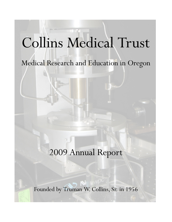# Collins Medical Trust

# Medical Research and Education in Oregon

# 2009 Annual Report

Founded by Truman W. Collins, Sr. in 1956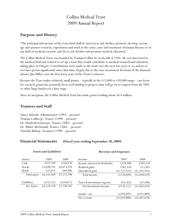# Collins Medical Trust 2009 Annual Report

## **Purpose and History**

"The principal and income of the trust fund shall be used (a) to aid, further, promote, develop, encourage and sponsor research, experiment and work in the cause, cure and treatment of human diseases or in any field of medical research, and (b) to aid, further and promote medical education."

The Collins Medical Trust was founded by Truman Collins Sr. in the fall of 1956. He was interested in the medical field and wanted to set up a trust that would contribute to medical research and education taking place in Oregon. Contributions were made to the trust over the next ten years or so, and its assets have grown significantly since that time, largely due to the wise investment decisions of the financial adviser, Jim Miller, over the first forty years of the Trust's existence.

Because the Trust makes relatively small grants—typically in the \$15,000 to \$30,000 range—our focus for research grants has primarily been seed funding to projects that will go on to request from the NIH or other large funders in a later stage.

Since its inception, the Collins Medical Trust has made grants totaling about \$6.4 million.

## **Trustees and Staff**

Nancy Helseth: Administrator (1993 – present) Truman Collins Jr.: Trustee (1990 – present) Dr. Elizabeth Eckstrom: Trustee (2003 – present) Dr. Walter McDonald: Trustee (2005 – present) Timothy Bishop: Treasurer (1990 – present)

## **Financial Statements (Fiscal year ending September 30, 2009)**

| <b>Assets and Liabilities</b> |              |             | <b>Revenue and Expenses</b>   |                |              |
|-------------------------------|--------------|-------------|-------------------------------|----------------|--------------|
| Assets:                       | 2009         | 2008        | Income:                       | 2009           | 2008         |
| Cash                          | \$427,749    | \$230,420   | Income (interest & dividends) | \$228,988      | \$287,534    |
| <b>Stocks</b>                 | \$5,690,745  | \$6,873,378 | Realized gains                | \$262,516      | \$15,961     |
| Bonds                         | \$22,875     | \$69,000    | Unrealized gains              | (\$1,212,353)  | (1,341,914)  |
| Total assets                  | \$6,141,369  | \$7,172,798 | Total income                  | $($ \$720,849) | (1,038,419)  |
| Liabilities                   | $(\$22,211)$ | $(*34,617)$ | Taxes & investment expense    | $(*5,262)$     | $(*7,400)$   |
| Net Assets                    | \$6,119,158  | \$7,138,181 | Net Investment Income         | ( \$726, 111)  | (1,045,819)  |
|                               |              |             | Grants - net                  | $($ \$292,897) | $(*421,809)$ |
|                               |              |             | Net revenue                   | (\$1,019,008)  | (1,467,628)  |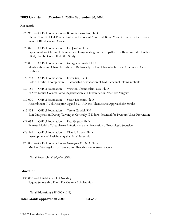#### **2009 Grants (October 1, 2008 – September 30, 2009)**

#### **Research**

\$29,980 — OHSU Foundation — Binoy Appukuttan, Ph.D. Use of Novel RTEF-1 Protein Isoforms to Prevent Abnormal Blood Vessel Growth for the Treatment of Blindness and Cancer

\$29,826 — OHSU Foundation — Dr. Jau-Shin Lou Lipoic Acid for Chronic Inflammatory Demyelinating Polyneuropathy — a Randomized, Double-Blind, Placebo Controlled Pilot Study

\$28,830 — OHSU Foundation — Georgiana Purdy, Ph.D. Identification and Characterization of Biologically-Relevant Mycobactericidal Ubiquitin-Derived Peptides

\$29,753 — OHSU Foundation — Feifei Yan, Ph.D. Role of Derlin-1 complex in ER-associated degradation of KATP channel folding mutants

\$30,187 — OHSU Foundation — Winston Chamberlain, MD, Ph.D. In Vivo Mouse Corneal Nerve Regeneration and Inflammation After Eye Surgery

\$30,000 — OHSU Foundation — Suzan Dziennis, Ph.D. Recombinant T-Cell Receptor Ligand 551: A Novel Therapeutic Approach for Stroke

\$13,835 — OHSU Foundation — Teresa Goodell RN Skin Oxygenation During Turning in Critically Ill Elders: Potential for Pressure Ulcer Prevention

\$29,652 — OHSU Foundation — Peta Grigsby Ph.D. Primate Model of Ureaplasma Infection *in utero*: Prevention of Neurologic Sequelae

\$28,541 — OHSU Foundation — Claudia Lopez, Ph.D. Development of Antivirals Against HIV Assembly

\$29,800 — OHSU Foundation — Guangwu Xu, MD, Ph.D. Murine Cytomegalovirus Latency and Reactivation in Stromal Cells

Total Research: \$280,404 (89%)

#### **Education**

\$35,000 — Linfield School of Nursing Paquet Scholarship Fund, For Current Scholarships.

Total Education: \$35,000 (11%)

**Total Grants approved in 2009: \$315,404**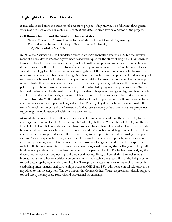# **Highlights from Prior Grants**

It may take years before the outcome of a research project is fully known. The following three grants were made in past years. For each, some context and detail is given for the outcome of the project.

#### **Cell Biomechanics and the Study of Disease States**

Sean S. Kohles, Ph.D., Associate Professor of Mechanical & Materials Engineering Portland State University & Oregon Health Sciences University \$30,000 awarded in May 2008

In 2005, the National Science Foundation awarded an instrumentation grant to PSU for the development of a novel device integrating two laser-based techniques for the study of single-cell biomechanics. Now, an optical tweezer may position individual cells within complex microfluidic environments while directly measuring flow velocities (stresses) and the responding cellular deformation (strains). This advanced technology facilitates biomechanical investigations at the cellular level in order to discover the relationship between mechanics and biology (mechanotransduction) and the potential for identifying cell mechanics as a biomarker for disease. The goal was and still is to provide a more complete knowledge of individual cellular biomechanics associated with diseases (e.g., cancer, diabetes, arthritis) as well as prioritizing the biomechanical factors most critical to stimulating regenerative processes. In 2007, the National Institutes of Health provided funding to validate this approach using cartilage and bone cells in an effort to understand arthritis, a disease which affects one in three American adults. More recently, an award from the Collins Medical Trust has added additional support to help facilitate the cell culture environment necessary to pursue living-cell studies. This ongoing effort includes the continued validation of a novel instrument and the formation of a database archiving cellular biomechanical properties supporting the exploration of healthy and diseased states.

Many additional researchers, both faculty and students, have contributed directly or indirectly to this investigation including Derek C. Tretheway, PhD, of PSU, Shelley R. Winn, PhD, of OHSU, and Randy D. Zelick, PhD, of PSU. Validation studies have produced biomechanical data which has led to groundbreaking publications describing both experimental and mathematical modeling results. These preliminary studies have supported a seed effort contributing to multiple internal and external grant applications. As with any new technology developed for a novel experimental approach, limitations were identified precluding a complete biomechanical assessment of single and multiple cells. Despite the technical limitations, scientific discoveries have been recognized including the challenge of making celllevel knowledge relevant to tissue-level therapies. In this perspective, Dr. Kohles has been bridging the discoveries between cell engineering and tissue engineering. Here, cell population biomechanics and biomaterials science become critical components when harnessing the adaptability of the living system toward tissue repair, regeneration, and healing. Through an increased university leadership interest in establishing inter-institutional partnerships between OHSU and PSU, additional clinical relevancy is being added to this investigation. The award from the Collins Medical Trust has provided valuable support toward strengthening these research and educational partnerships.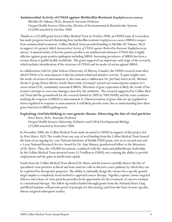#### **Antimicrobial Activity of C9ASA against Methicillin-Resistant** *Staphylococcus aureus*

Michiko M. Nakano, Ph.D., Research Associate Professor Oregon Health Sciences University, Division of Environmental & Biomolecular Systems \$25,000 awarded in October 2008

Thanks to a \$25,000 grant from Collins Medical Trust in October 2008, an OHSU team of researchers has made progress toward elucidating how methicillin-resistant *Staphylococcus aureus* (MRSA) escapes from antimicrobial treatment. Collins Medical Trust provided funding to Michiko M. Nakano, Ph.D. in support of a project titled *Antimicrobial Activity of C9ASA against Methicillin-Resistant* Staphylococcus aureus. A natural isolate of *Bacillus pumilus* produces an antibacterial substance C9ASA that is highly effective against gram-positive pathogens including MRSA. Increasing prevalence of MRSA has been a serious threat to public health worldwide. The grant supported an important early stage of the research, which includes identification of the structure of C9ASA and its mode-of-action against MRSA.

In collaboration with Dr. John Vederas (University of Alberta, Canada), the OHSU research team identified C9ASA to be amicoumacin A that has antimicrobial and antiulcer activity. To gain insights into the mode-of-action of amicoumacin A, the team and a collaborator Dr. Jan Pané-Farré in Dr. Michael Hecker's group (Ernst-Moritz-Arndt-Universität, Germany) carried out transcriptome analysis in *S. aureus* strain COL, community-associated MRSA. Alteration of gene expression is likely the result of bacterium's attempt to overcome damages caused by the antibiotic. The research supported by Collins Medical Trust laid the groundwork for the research funded in 2009 by NIH-NIAID, and the team continues studying the response of MRSA to amicoumacin A. Characterization of genes that are up-regulated or down-regulated in response to amicoumacin A will likely provide some clue to understanding how these genes function in MRSA pathogenesis.

#### **Exploiting viral hitchhiking to cure genetic disease. Dissecting the fate of viral particles**

Peter Kurre, M.D., Associate Professor Oregon Health Sciences University, Pediatrics and Cell & Developmental Biology \$25,000 awarded in November 2006

In November 2006, the Collins Medical Trust made an award to OHSU in support of this project led by Peter Kurre, M.D. The results from one year of seed funding from the Collins Medical Trust formed the basis of an ongoing five-year National Institutes of Health (NIH) grant, now in its second year and a 3 year National Research Service Award for Dr. Amy Skinner, postdoctoral fellow in the laboratory of Dr. Kurre. Thus, the \$30,000 investment, combined with the vision and philanthropic leadership by the Collins Medical Trust attracted some \$1.9 million to OHSU, not counting the ability to provide employment and the gains in intellectual capital.

Funds from the Collins Medical Trust allowed Dr. Kurre and his team to carefully dissect the fate of specialized virus particles in blood and bone marrow cells to discover a new pathway by which they can be exploited for therapeutic purposes. The ability to rationally design the viruses for a specific genetic target implies a completely novel method to approach cancer therapy. Together, capture, tissue-targeted delivery and release of virus particles provides fresh opportunity for the treatment of cancers resistant to conventional therapy. The follow up studies funded through grants from the National Heart Lung and Blood Institute will provide proof of principle for this strategy and form the basis of more specific, disease-targeted subsequent studies.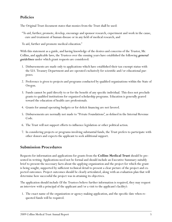# **Policies**

The Original Trust document states that monies from the Trust shall be used:

"To aid, further, promote, develop, encourage and sponsor research, experiment and work in the cause, cure and treatment of human disease or in any field of medical research, and

To aid, further and promote medical education."

With this statement as a guide, and having knowledge of the desires and concerns of the Trustor, Mr. Collins, and applicable laws, the Trustees over the ensuing years have established the following *general guidelines* under which grant requests are considered:

- 1. Disbursements are made only to applications which have established their tax-exempt status with the U.S. Treasury Department and are operated exclusively for scientific and/or educational purposes.
- 2. Preference is given to projects and programs conducted by qualified organizations within the State of Oregon.
- 3. Funds cannot be paid directly to or for the benefit of any specific individual. This does not preclude grants to qualified institutions for organized scholarship programs. Education is generally geared toward the education of health care professionals.
- 4. Grants for annual operating budgets or for deficit financing are not favored.
- 5. Disbursements are normally not made to "Private Foundations", as defined in the Internal Revenue Code.
- 6. The Trust will not support efforts to influence legislation or other political action.
- 7. In considering projects or programs involving substantial funds, the Trust prefers to participate with other donors and expects the applicant to seek additional support.

# **Submission Procedures**

Requests for information and applications for grants from the **Collins Medical Trust** should be presented in writing. Applications need not be formal and should include an Executive Summary suitably brief to present the necessary facts about the applying organization and the project for which the grant is being sought, supported by sufficient technical detail to present a clear picture of the project and expected outcomes. Project outcomes should be clearly articulated, along with an evaluation plan that will determine how successful the project was in attaining its objectives.

The application should include (If the Trustees believe further information is required, they may request an interview with a principal of the applicant and/or a visit to the applicant's facility):

1. The exact name of the organization or agency making application, and the specific date when requested funds will be required.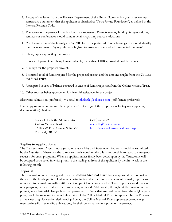- 2. A copy of the letter from the Treasury Department of the United States which grants tax exempt status; also a statement that the applicant is classified as "Not a Private Foundation", as defined in the Internal Revenue Code.
- 3. The nature of the project for which funds are requested. Projects seeking funding for symposiums, seminars or conferences should contain details regarding course evaluations.
- 4. Curriculum vitae of the investigator(s). NIH format is preferred. Junior investigators should identify their primary mentor(s) as preference is given to projects associated with respected mentor(s).
- 5. Bibliography supporting the project.
- 6. In research projects involving human subjects, the status of IRB approval should be included.
- 7. A budget for the proposed project.
- 8. Estimated total of funds required for the proposed project and the amount sought from the **Collins Medical Trust**.
- 9. Anticipated source of balance required in excess of funds requested from the Collins Medical Trust.
- 10. Other sources being approached for financial assistance for the project.

Electronic submission (preferred): via email to [nhelseth@collinsco.com](mailto:nhelseth@collinsco.com) (.pdf format preferred).

Hard copy submission: Submit the *original and 1 photocopy* of the proposal (including any supporting documentation). Mail to:

> Nancy L. Helseth, Administrator (503) 471-2223  $\text{Collins Medical Trust}$  nhelseth $@$ collinsco.com Portland, OR 97201

1618 S.W. First Avenue, Suite 500 <http://www.collinsmedicaltrust.org/>

#### **Replies to Applications:**

The Trustees meet *three times a year*, in January, May and September. Requests should be submitted by the *first day* of these months to receive timely consideration. It is not possible to react to emergency requests for crash programs. When an application has finally been acted upon by the Trustees, it will be accepted or rejected in writing sent to the mailing address of the applicant by the first week in the following month.

#### **Reports:**

The organization receiving a grant from the **Collins Medical Trust** has a responsibility to report on the use of the funds granted. Unless otherwise indicated at the time disbursement is made, reports are requested to be made annually until the entire grant has been expended. These reports should cover not only progress, but also evaluate the results being achieved. Additionally, throughout the duration of the project, any substantial changes in scope, personnel, or funds that are re-directed from the original purpose, should be reported to the Administrator of the Collins Medical Trust for approval by the Trustees at their next regularly scheduled meeting. Lastly, the Collins Medical Trust appreciates acknowledgment, primarily in scientific publications, for their contribution in support of the project.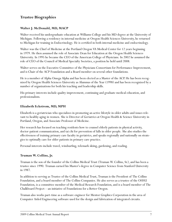# **Trustee Biographies**

#### **Walter J. McDonald, MD, MACP**

Walter received his undergraduate education at Williams College and his MD degree at the University of Michigan. Following a residency in internal medicine at Oregon Health Sciences University, he returned to Michigan for training in Endocrinology. He is certified in both internal medicine and endocrinology.

Walter was the Chief of Medicine at the Portland Oregon VA Medical Center for 12 years beginning in 1979. He then assumed the role of Associate Dean for Education at the Oregon Health Sciences University. In 1995 he became the CEO of the American College of Physicians. In 2002 he assumed the role of CEO of the Council of Medical Specialty Societies, a position he held until 2008.

Walter serves on the Executive Committee of the Physicians Consortium for Performance Improvement, and is Chair of the ACP Foundation and a Board member on several other foundations.

He is a member of Alpha Omega Alpha and has been elected as a Master of the ACP. He has been recognized by Oregon Health Sciences University as Alumnus of the Year (1998) and has been recognized by a number of organizations for both his teaching and leadership skills.

His primary interests include quality improvement, continuing and graduate medical education, and professionalism.

#### **Elizabeth Eckstrom, MD, MPH**

Elizabeth is a geriatrician who specializes in promoting an active lifestyle in older adults and issues relevant to healthy aging in women. She is Director of Geriatrics at Oregon Health & Science University in Portland, Oregon, and Associate Professor of Medicine.

Her research has focused on teaching residents how to counsel elderly patients in physical activity, doctor-patient communication, and tai chi for prevention of falls in older people. She also studies the effectiveness of training primary care faculty in geriatrics, and speaks regionally and nationally on strategies to optimally care for older patients in primary care practice.

Personal interests include travel, windsurfing, telemark skiing, gardening, and reading.

#### **Truman W. Collins, Jr.**

Truman is the son of the founder of the Collins Medical Trust (Truman W. Collins, Sr.), and has been a trustee since 1990. Truman earned his Master's degree in Computer Science from Stanford University in 1987.

In addition to serving as Trustee of the Collins Medical Trust, Truman is the President of The Collins Foundation, and a board member of The Collins Companies. He also serves as a trustee of the OHSU Foundation, is a committee member of the Medical Research Foundation, and is a board member of The Chalkboard Project—an initiative of Foundations for a Better Oregon.

Truman also works part-time as a software engineer for Mentor Graphics Corporation in the area of Computer Aided Engineering software used for the design and fabrication of integrated circuits.